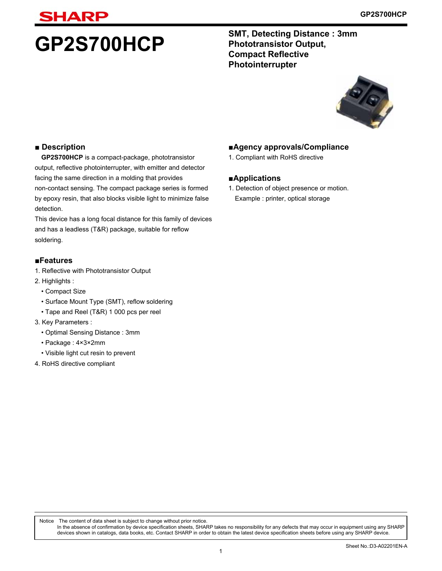# **SHARP**

**GP2S700HCP** SMT, Detecting Distance : 3mm **Phototransistor Output, Compact Reflective Photointerrupter**



### **■ Description**

**GP2S700HCP** is a compact-package, phototransistor output, reflective photointerrupter, with emitter and detector facing the same direction in a molding that provides non-contact sensing. The compact package series is formed by epoxy resin, that also blocks visible light to minimize false detection.

This device has a long focal distance for this family of devices and has a leadless (T&R) package, suitable for reflow soldering.

### **■Features**

- 1. Reflective with Phototransistor Output
- 2. Highlights :
	- Compact Size
	- Surface Mount Type (SMT), reflow soldering
	- Tape and Reel (T&R) 1 000 pcs per reel
- 3. Key Parameters :
	- Optimal Sensing Distance : 3mm
	- Package : 4×3×2mm
	- Visible light cut resin to prevent
- 4. RoHS directive compliant

### **■Agency approvals/Compliance**

1. Compliant with RoHS directive

### **■Applications**

- 1. Detection of object presence or motion.
- Example : printer, optical storage

Notice The content of data sheet is subject to change without prior notice. In the absence of confirmation by device specification sheets, SHARP takes no responsibility for any defects that may occur in equipment using any SHARP devices shown in catalogs, data books, etc. Contact SHARP in order to obtain the latest device specification sheets before using any SHARP device.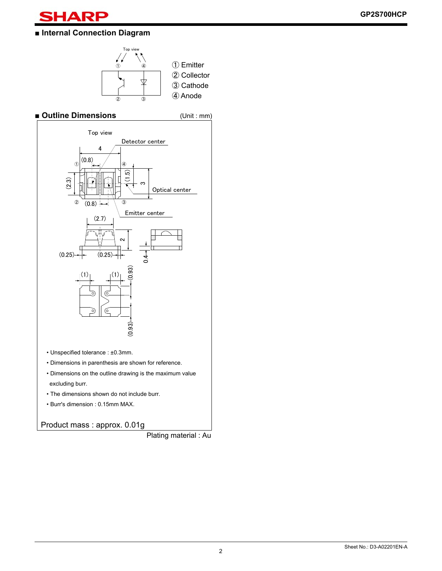

### **■ Internal Connection Diagram**



**■ Outline Dimensions** (Unit : mm)



- Unspecified tolerance : ±0.3mm.
- Dimensions in parenthesis are shown for reference.
- Dimensions on the outline drawing is the maximum value excluding burr.
- The dimensions shown do not include burr.
- Burr's dimension : 0.15mm MAX.

### Product mass : approx. 0.01g

Plating material : Au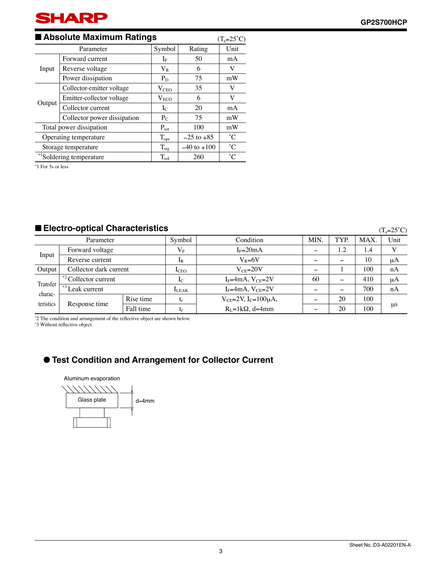

### ■ **Absolute Maximum Ratings**

| ■ Absolute Maximum Ratings<br>$(T_a=25^{\circ}C)$ |                                      |                                                                                                                                                              |        |             |  |  |
|---------------------------------------------------|--------------------------------------|--------------------------------------------------------------------------------------------------------------------------------------------------------------|--------|-------------|--|--|
|                                                   | Parameter                            | Symbol                                                                                                                                                       | Rating | Unit        |  |  |
|                                                   | Forward current                      | $1\mathrm{F}$                                                                                                                                                | 50     | mA          |  |  |
| Input                                             | Reverse voltage                      | $\rm V_R$                                                                                                                                                    | 6      | V           |  |  |
|                                                   | Power dissipation                    | $P_D$                                                                                                                                                        | 75     | mW          |  |  |
|                                                   | Collector-emitter voltage            | V <sub>CEO</sub>                                                                                                                                             | 35     | V           |  |  |
|                                                   | Emitter-collector voltage            | V <sub>ECO</sub><br>6<br>20<br>$I_{C}$<br>75<br>$P_{C}$<br>100<br>$P_{\text{tot}}$<br>$T_{\rm opr}$<br>$-25$ to $+85$<br>$-40$ to $+100$<br>$T_{\text{stg}}$ | V      |             |  |  |
| Output                                            | Collector current                    |                                                                                                                                                              |        | mA          |  |  |
|                                                   | Collector power dissipation          | 260<br>$T_{\rm sol}$                                                                                                                                         | mW     |             |  |  |
|                                                   | Total power dissipation              |                                                                                                                                                              |        | mW          |  |  |
|                                                   | Operating temperature                |                                                                                                                                                              |        | $^{\circ}C$ |  |  |
| Storage temperature                               |                                      |                                                                                                                                                              |        | $^{\circ}C$ |  |  |
|                                                   | * <sup>1</sup> Soldering temperature |                                                                                                                                                              |        | $^{\circ}C$ |  |  |

∗ 1 For 5s or less

### ■ **Electro-optical Characteristics**

 $(T_a=25^\circ\text{C})$ 

| Parameter           |                                |           | Symbol         | Condition                           | MIN. | TYP.                     | MAX. | Unit |
|---------------------|--------------------------------|-----------|----------------|-------------------------------------|------|--------------------------|------|------|
|                     | Forward voltage                |           | $V_{\rm F}$    | $I_F=20mA$                          |      | 1.2                      | 1.4  |      |
| Input               | Reverse current                |           | $1_{R}$        | $V_R = 6V$                          |      | $\overline{\phantom{0}}$ | 10   | μA   |
| Output              | Collector dark current         |           | $_{\rm LEO}$   | $V_{CF} = 20V$                      |      |                          | 100  | nA   |
|                     | $1^{*2}$ Collector current     |           | 1 <sub>C</sub> | $I_F=4mA, V_{CE}=2V$                | 60   | -                        | 410  | μA   |
| Transfer<br>charac- | $+$ <sup>*3</sup> Leak current |           | <b>ILEAK</b>   | $I_F=4mA, V_{CE}=2V$                |      | -                        | 700  | nA   |
| teristics           | Response time                  | Rise time |                | $V_{CE} = 2V$ , $I_C = 100 \mu A$ , |      | 20                       | 100  |      |
|                     |                                | Fall time |                | $R_I = 1kQ$ , d=4mm                 |      | 20                       | 100  | us   |

\*2 The condition and arrangement of the reflective object are shown below.

\*3 Without reflective object.

### ● **Test Condition and Arrangement for Collector Current**

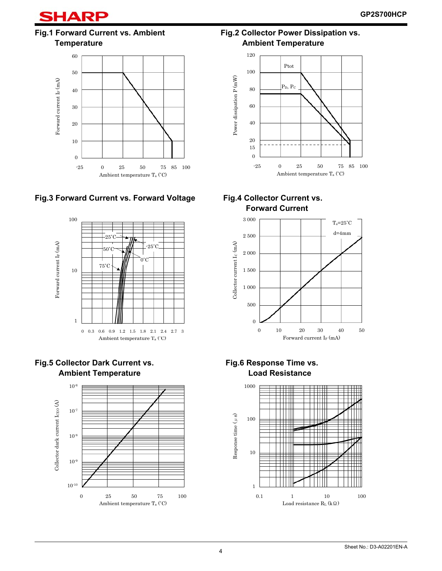

### Fig.1 Forward Current vs. Ambient Fig.2 Collector Power Dissipation vs.





### **Fig.3 Forward Current vs. Forward Voltage Fig.4 Collector Current vs.**







**Temperature Community Community Community Community Community Community Community Community Community Community** 



# **Forward Current**



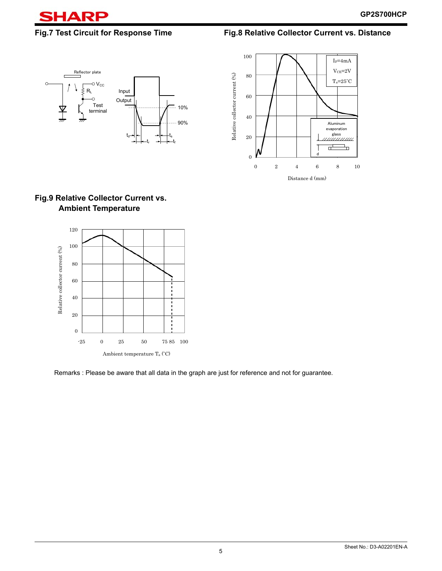

**Fig.7 Test Circuit for Response Time Fig.8 Relative Collector Current vs. Distance** 





### **Fig.9 Relative Collector Current vs. Ambient Temperature**



Remarks : Please be aware that all data in the graph are just for reference and not for guarantee.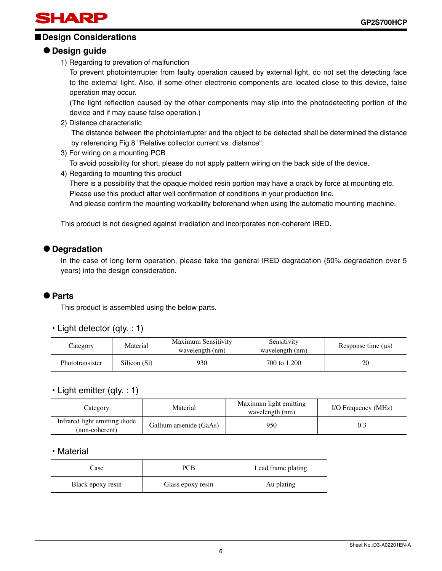## SHARP

### ■**Design Considerations**

### ● **Design guide**

1) Regarding to prevation of malfunction

To prevent photointerrupter from faulty operation caused by external light, do not set the detecting face to the external light. Also, if some other electronic components are located close to this device, false operation may occur.

(The light reflection caused by the other components may slip into the photodetecting portion of the device and if may cause false operation.)

2) Distance characteristic

 The distance between the photointerrupter and the object to be detected shall be determined the distance by referencing Fig.8 "Relative collector current vs. distance".

3) For wiring on a mounting PCB

To avoid possibility for short, please do not apply pattern wiring on the back side of the device.

4) Regarding to mounting this product

There is a possibility that the opaque molded resin portion may have a crack by force at mounting etc. Please use this product after well confirmation of conditions in your production line.

And please confirm the mounting workability beforehand when using the automatic mounting machine.

This product is not designed against irradiation and incorporates non-coherent IRED.

### ● **Degradation**

In the case of long term operation, please take the general IRED degradation (50% degradation over 5 years) into the design consideration.

### ● **Parts**

This product is assembled using the below parts.

• Light detector (qty. : 1)

| Category        | Material     | Maximum Sensitivity<br>wavelength (nm) | Sensitivity<br>wavelength (nm) | Response time $(us)$ |
|-----------------|--------------|----------------------------------------|--------------------------------|----------------------|
| Phototransister | Silicon (Si) | 930                                    | 700 to 1 200                   | 20                   |

### • Light emitter (qty. : 1)

| Material<br>Category                            |                         | Maximum light emitting<br>wavelength (nm) | I/O Frequency (MHz) |
|-------------------------------------------------|-------------------------|-------------------------------------------|---------------------|
| Infrared light emitting diode<br>(non-coherent) | Gallium arsenide (GaAs) | 950                                       |                     |

### • Material

| Case              | PCB               | Lead frame plating |  |  |
|-------------------|-------------------|--------------------|--|--|
| Black epoxy resin | Glass epoxy resin | Au plating         |  |  |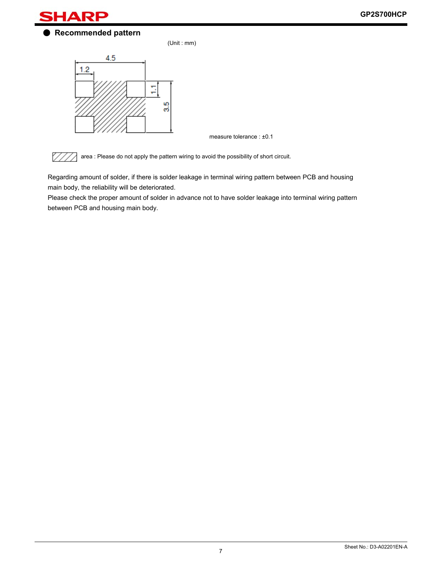

● **Recommended pattern** 

(Unit : mm)



measure tolerance : ±0.1



area : Please do not apply the pattern wiring to avoid the possibility of short circuit.

Regarding amount of solder, if there is solder leakage in terminal wiring pattern between PCB and housing main body, the reliability will be deteriorated.

Please check the proper amount of solder in advance not to have solder leakage into terminal wiring pattern between PCB and housing main body.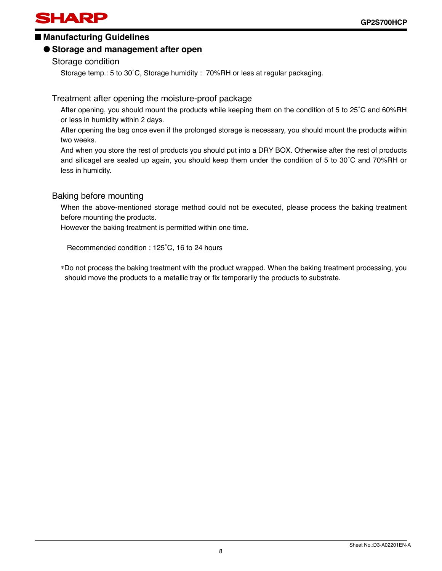## **SHARP**

### ■ Manufacturing Guidelines

### ● **Storage and management after open**

Storage condition

Storage temp.: 5 to 30˚C, Storage humidity : 70%RH or less at regular packaging.

### Treatment after opening the moisture-proof package

After opening, you should mount the products while keeping them on the condition of 5 to 25˚C and 60%RH or less in humidity within 2 days.

After opening the bag once even if the prolonged storage is necessary, you should mount the products within two weeks.

And when you store the rest of products you should put into a DRY BOX. Otherwise after the rest of products and silicagel are sealed up again, you should keep them under the condition of 5 to 30˚C and 70%RH or less in humidity.

### Baking before mounting

When the above-mentioned storage method could not be executed, please process the baking treatment before mounting the products.

However the baking treatment is permitted within one time.

Recommended condition : 125˚C, 16 to 24 hours

∗Do not process the baking treatment with the product wrapped. When the baking treatment processing, you should move the products to a metallic tray or fix temporarily the products to substrate.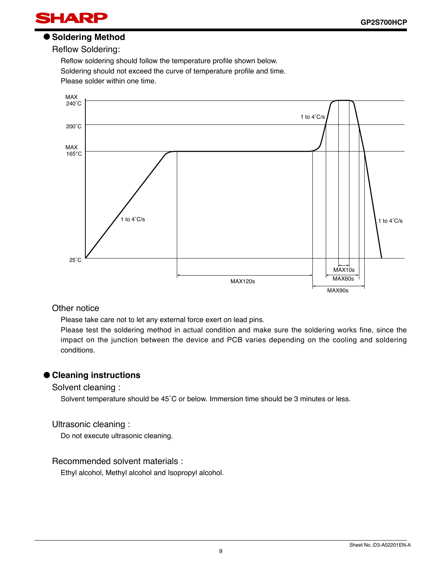

### ● **Soldering Method**

Reflow Soldering:

Reflow soldering should follow the temperature profile shown below. Soldering should not exceed the curve of temperature profile and time. Please solder within one time.



### Other notice

Please take care not to let any external force exert on lead pins.

Please test the soldering method in actual condition and make sure the soldering works fine, since the impact on the junction between the device and PCB varies depending on the cooling and soldering conditions.

### ● **Cleaning instructions**

Solvent cleaning :

Solvent temperature should be 45˚C or below. Immersion time should be 3 minutes or less.

### Ultrasonic cleaning :

Do not execute ultrasonic cleaning.

### Recommended solvent materials :

Ethyl alcohol, Methyl alcohol and Isopropyl alcohol.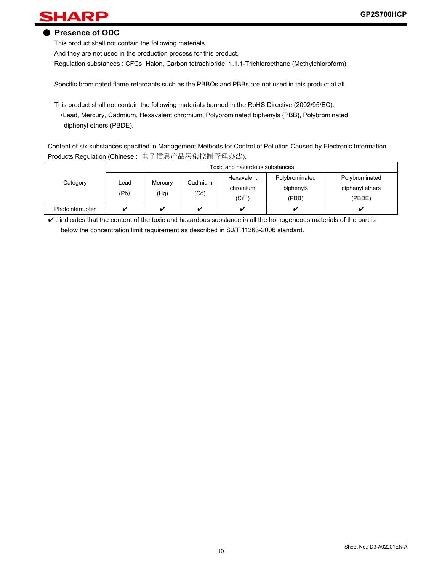## HARP

### ● **Presence of ODC**

This product shall not contain the following materials.

And they are not used in the production process for this product.

Regulation substances : CFCs, Halon, Carbon tetrachloride, 1.1.1-Trichloroethane (Methylchloroform)

Specific brominated flame retardants such as the PBBOs and PBBs are not used in this product at all.

This product shall not contain the following materials banned in the RoHS Directive (2002/95/EC). •Lead, Mercury, Cadmium, Hexavalent chromium, Polybrominated biphenyls (PBB), Polybrominated diphenyl ethers (PBDE).

 Content of six substances specified in Management Methods for Control of Pollution Caused by Electronic Information Products Regulation (Chinese : 电子信息产品污染控制管理办法).

|                  |              |                 |                         | Toxic and hazardous substances        |                                      |                                             |  |
|------------------|--------------|-----------------|-------------------------|---------------------------------------|--------------------------------------|---------------------------------------------|--|
| Category         | Lead<br>(Pb) | Mercury<br>(Hg) | Cadmium<br>(Cd)         | Hexavalent<br>chromium<br>$(Cr^{6+})$ | Polybrominated<br>biphenyls<br>(PBB) | Polybrominated<br>diphenyl ethers<br>(PBDE) |  |
| Photointerrupter |              |                 | $\overline{\mathbf{v}}$ | ✓                                     |                                      |                                             |  |

 $\checkmark$  : indicates that the content of the toxic and hazardous substance in all the homogeneous materials of the part is below the concentration limit requirement as described in SJ/T 11363-2006 standard.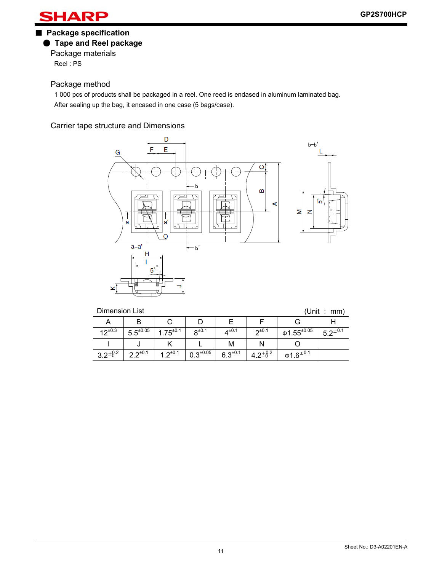HARP

### ■ **Package specification** ● **Tape and Reel package**

Package materials Reel : PS

### Package method

1 000 pcs of products shall be packaged in a reel. One reed is endased in aluminum laminated bag. After sealing up the bag, it encased in one case (5 bags/case).

Carrier tape structure and Dimensions



| (Unit<br><b>Dimension List</b><br>: mm) |                  |                 |                  |              |              |                                           |                |
|-----------------------------------------|------------------|-----------------|------------------|--------------|--------------|-------------------------------------------|----------------|
|                                         |                  |                 |                  |              |              |                                           |                |
| 12 <sup>±0.3</sup>                      | $5.5^{\pm 0.05}$ | $.75^{\pm0.1}$  | $R^{\pm 0.1}$    | $4^{\pm0.1}$ | $2^{t0.1}$   | $\Phi$ 1.55 $^{\pm 0.05}$                 | $5.2^{\pm0.1}$ |
|                                         |                  |                 |                  | М            |              |                                           |                |
| $3.2^{+8.2}$                            | $2.2^{\pm 0.1}$  | 1 $2^{\pm 0.1}$ | $0.3^{\pm 0.05}$ | $6.3^{+0.1}$ | $4.2^{+0.2}$ | $\Phi$ 1.6 <sup><math>\pm</math>0.1</sup> |                |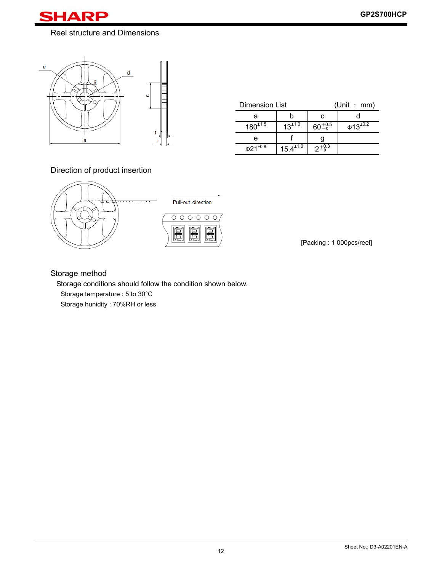### SHAI R

### Reel structure and Dimensions



| Dimension List      |                  |                    | (Unit : mm)               |  |  |
|---------------------|------------------|--------------------|---------------------------|--|--|
|                     |                  | r.                 |                           |  |  |
| $180^{+1.5}$        | $13^{\pm 1.0}$   | $60^{+0.5}_{-0.5}$ | $\Phi$ 13 <sup>±0.2</sup> |  |  |
| e                   |                  |                    |                           |  |  |
| $\Phi 21^{\pm 0.8}$ | $15.4^{\pm 1.0}$ | $2^{+0.3}_{-0.3}$  |                           |  |  |

### Direction of product insertion



[Packing : 1 000pcs/reel]

### Storage method

Storage conditions should follow the condition shown below. Storage temperature : 5 to 30°C Storage hunidity : 70%RH or less